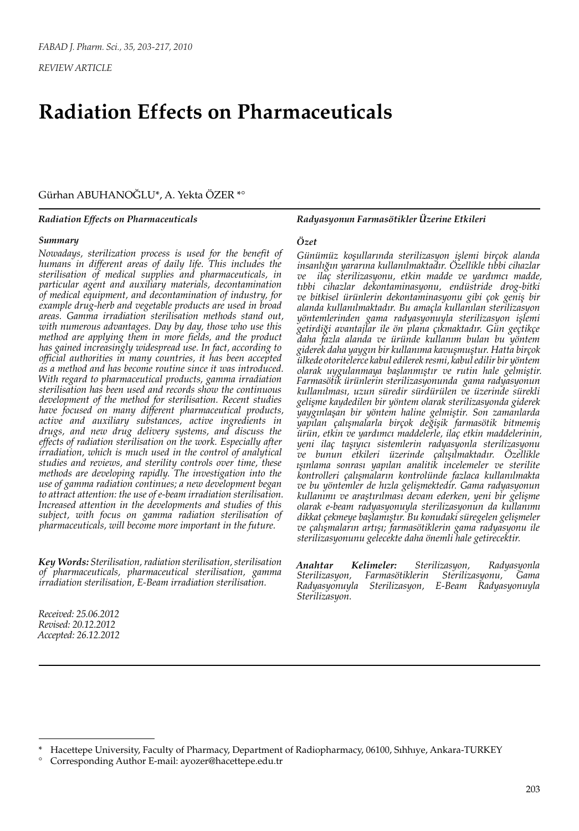*REVIEW ARTICLE*

# **Radiation Effects on Pharmaceuticals**

Gürhan ABUHANOĞLU\*, A. Yekta ÖZER \*°

#### *Radiation Effects on Pharmaceuticals*

#### *Summary*

*Nowadays, sterilization process is used for the benefit of humans in different areas of daily life. This includes the sterilisation of medical supplies and pharmaceuticals, in particular agent and auxiliary materials, decontamination of medical equipment, and decontamination of industry, for example drug-herb and vegetable products are used in broad areas. Gamma irradiation sterilisation methods stand out, with numerous advantages. Day by day, those who use this method are applying them in more fields, and the product has gained increasingly widespread use. In fact, according to official authorities in many countries, it has been accepted as a method and has become routine since it was introduced. With regard to pharmaceutical products, gamma irradiation sterilisation has been used and records show the continuous development of the method for sterilisation. Recent studies have focused on many different pharmaceutical products, active and auxiliary substances, active ingredients in drugs, and new drug delivery systems, and discuss the effects of radiation sterilisation on the work. Especially after irradiation, which is much used in the control of analytical studies and reviews, and sterility controls over time, these methods are developing rapidly. The investigation into the use of gamma radiation continues; a new development began to attract attention: the use of e-beam irradiation sterilisation. Increased attention in the developments and studies of this subject, with focus on gamma radiation sterilisation of pharmaceuticals, will become more important in the future.* 

*Key Words: Sterilisation, radiation sterilisation, sterilisation of pharmaceuticals, pharmaceutical sterilisation, gamma irradiation sterilisation, E-Beam irradiation sterilisation.*

*Received: 25.06.2012 Revised: 20.12.2012 Accepted: 26.12.2012* *Radyasyonun Farmasötikler Üzerine Etkileri*

#### *Özet*

*Günümüz koşullarında sterilizasyon işlemi birçok alanda insanlığın yararına kullanılmaktadır. Özellikle tıbbi cihazlar ve ilaç sterilizasyonu, etkin madde ve yardımcı madde, tıbbi cihazlar dekontaminasyonu, endüstride drog-bitki ve bitkisel ürünlerin dekontaminasyonu gibi çok geniş bir alanda kullanılmaktadır. Bu amaçla kullanılan sterilizasyon yöntemlerinden gama radyasyonuyla sterilizasyon işlemi getirdiği avantajlar ile ön plana çıkmaktadır. Gün geçtikçe daha fazla alanda ve üründe kullanım bulan bu yöntem giderek daha yaygın bir kullanıma kavuşmuştur. Hatta birçok ülkede otoritelerce kabul edilerek resmi, kabul edilir bir yöntem olarak uygulanmaya başlanmıştır ve rutin hale gelmiştir. Farmasötik ürünlerin sterilizasyonunda gama radyasyonun kullanılması, uzun süredir sürdürülen ve üzerinde sürekli gelişme kaydedilen bir yöntem olarak sterilizasyonda giderek yaygınlaşan bir yöntem haline gelmiştir. Son zamanlarda yapılan çalışmalarla birçok değişik farmasötik bitmemiş ürün, etkin ve yardımcı maddelerle, ilaç etkin maddelerinin, yeni ilaç taşıyıcı sistemlerin radyasyonla sterilizasyonu ve bunun etkileri üzerinde çalışılmaktadır. Özellikle ışınlama sonrası yapılan analitik incelemeler ve sterilite kontrolleri çalışmaların kontrolünde fazlaca kullanılmakta ve bu yöntemler de hızla gelişmektedir. Gama radyasyonun kullanımı ve araştırılması devam ederken, yeni bir gelişme olarak e-beam radyasyonuyla sterilizasyonun da kullanımı dikkat çekmeye başlamıştır. Bu konudaki süregelen gelişmeler ve çalışmaların artışı; farmasötiklerin gama radyasyonu ile sterilizasyonunu gelecekte daha önemli hale getirecektir.*

*Anahtar Kelimeler: Sterilizasyon, Radyasyonla Sterilizasyon, Farmasötiklerin Sterilizasyonu, Gama Radyasyonuyla Sterilizasyon, E-Beam Radyasyonuyla Sterilizasyon.*

<sup>\*</sup> Hacettepe University, Faculty of Pharmacy, Department of Radiopharmacy, 06100, Sıhhıye, Ankara-TURKEY

<sup>°</sup> Corresponding Author E-mail: ayozer@hacettepe.edu.tr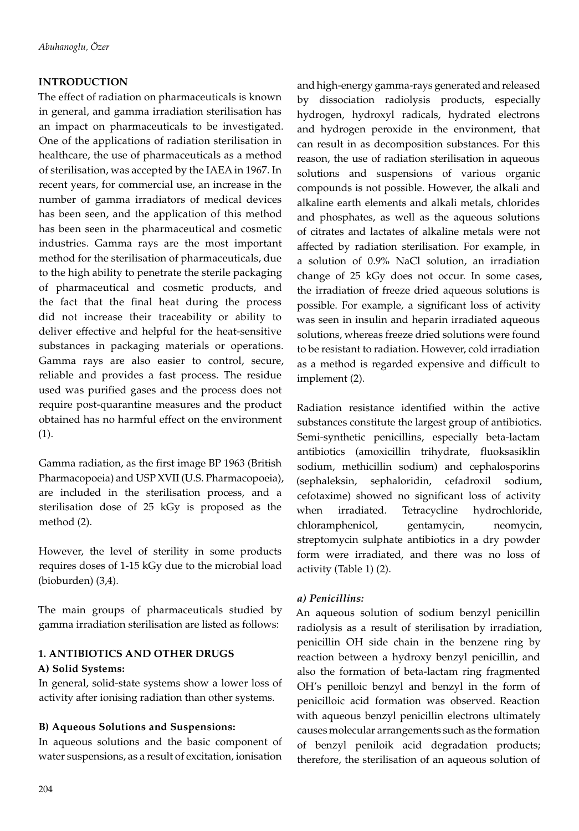### **INTRODUCTION**

The effect of radiation on pharmaceuticals is known in general, and gamma irradiation sterilisation has an impact on pharmaceuticals to be investigated. One of the applications of radiation sterilisation in healthcare, the use of pharmaceuticals as a method of sterilisation, was accepted by the IAEA in 1967. In recent years, for commercial use, an increase in the number of gamma irradiators of medical devices has been seen, and the application of this method has been seen in the pharmaceutical and cosmetic industries. Gamma rays are the most important method for the sterilisation of pharmaceuticals, due to the high ability to penetrate the sterile packaging of pharmaceutical and cosmetic products, and the fact that the final heat during the process did not increase their traceability or ability to deliver effective and helpful for the heat-sensitive substances in packaging materials or operations. Gamma rays are also easier to control, secure, reliable and provides a fast process. The residue used was purified gases and the process does not require post-quarantine measures and the product obtained has no harmful effect on the environment (1).

Gamma radiation, as the first image BP 1963 (British Pharmacopoeia) and USP XVII (U.S. Pharmacopoeia), are included in the sterilisation process, and a sterilisation dose of 25 kGy is proposed as the method (2).

However, the level of sterility in some products requires doses of 1-15 kGy due to the microbial load (bioburden) (3,4).

The main groups of pharmaceuticals studied by gamma irradiation sterilisation are listed as follows:

## **1. ANTIBIOTICS AND OTHER DRUGS A) Solid Systems:**

In general, solid-state systems show a lower loss of activity after ionising radiation than other systems.

#### **B) Aqueous Solutions and Suspensions:**

In aqueous solutions and the basic component of water suspensions, as a result of excitation, ionisation

and high-energy gamma-rays generated and released by dissociation radiolysis products, especially hydrogen, hydroxyl radicals, hydrated electrons and hydrogen peroxide in the environment, that can result in as decomposition substances. For this reason, the use of radiation sterilisation in aqueous solutions and suspensions of various organic compounds is not possible. However, the alkali and alkaline earth elements and alkali metals, chlorides and phosphates, as well as the aqueous solutions of citrates and lactates of alkaline metals were not affected by radiation sterilisation. For example, in a solution of 0.9% NaCl solution, an irradiation change of 25 kGy does not occur. In some cases, the irradiation of freeze dried aqueous solutions is possible. For example, a significant loss of activity was seen in insulin and heparin irradiated aqueous solutions, whereas freeze dried solutions were found to be resistant to radiation. However, cold irradiation as a method is regarded expensive and difficult to implement (2).

Radiation resistance identified within the active substances constitute the largest group of antibiotics. Semi-synthetic penicillins, especially beta-lactam antibiotics (amoxicillin trihydrate, fluoksasiklin sodium, methicillin sodium) and cephalosporins (sephaleksin, sephaloridin, cefadroxil sodium, cefotaxime) showed no significant loss of activity when irradiated. Tetracycline hydrochloride, chloramphenicol, gentamycin, neomycin, streptomycin sulphate antibiotics in a dry powder form were irradiated, and there was no loss of activity (Table 1) (2).

#### *a) Penicillins:*

An aqueous solution of sodium benzyl penicillin radiolysis as a result of sterilisation by irradiation, penicillin OH side chain in the benzene ring by reaction between a hydroxy benzyl penicillin, and also the formation of beta-lactam ring fragmented OH's penilloic benzyl and benzyl in the form of penicilloic acid formation was observed. Reaction with aqueous benzyl penicillin electrons ultimately causes molecular arrangements such as the formation of benzyl peniloik acid degradation products; therefore, the sterilisation of an aqueous solution of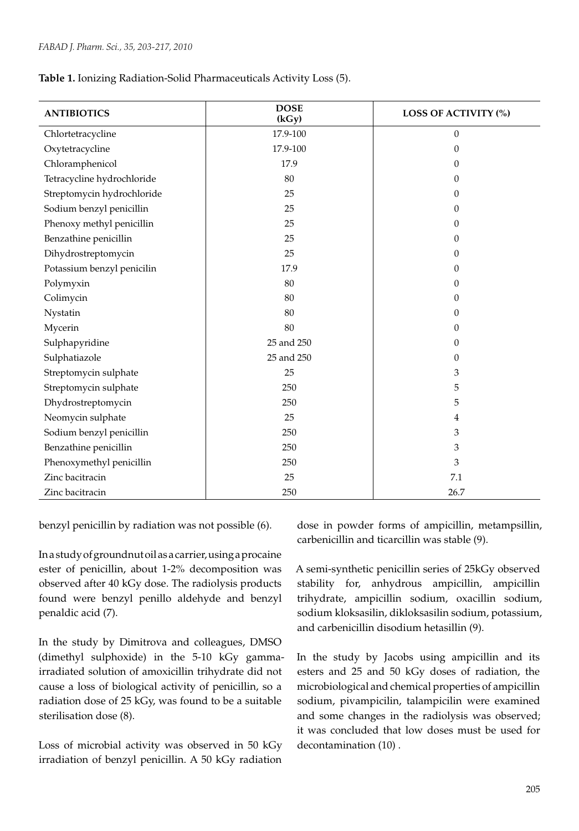**Table 1.** Ionizing Radiation-Solid Pharmaceuticals Activity Loss (5).

| <b>ANTIBIOTICS</b>         | <b>DOSE</b><br>(kGy) | <b>LOSS OF ACTIVITY (%)</b> |
|----------------------------|----------------------|-----------------------------|
| Chlortetracycline          | 17.9-100             | $\theta$                    |
| Oxytetracycline            | 17.9-100             | $\Omega$                    |
| Chloramphenicol            | 17.9                 | 0                           |
| Tetracycline hydrochloride | 80                   | $\Omega$                    |
| Streptomycin hydrochloride | 25                   | $\Omega$                    |
| Sodium benzyl penicillin   | 25                   | 0                           |
| Phenoxy methyl penicillin  | 25                   | 0                           |
| Benzathine penicillin      | 25                   | 0                           |
| Dihydrostreptomycin        | 25                   | 0                           |
| Potassium benzyl penicilin | 17.9                 | $\Omega$                    |
| Polymyxin                  | 80                   | 0                           |
| Colimycin                  | 80                   | 0                           |
| Nystatin                   | 80                   | 0                           |
| Mycerin                    | 80                   | $\Omega$                    |
| Sulphapyridine             | 25 and 250           | 0                           |
| Sulphatiazole              | 25 and 250           | 0                           |
| Streptomycin sulphate      | 25                   | 3                           |
| Streptomycin sulphate      | 250                  | 5                           |
| Dhydrostreptomycin         | 250                  | 5                           |
| Neomycin sulphate          | 25                   | 4                           |
| Sodium benzyl penicillin   | 250                  | 3                           |
| Benzathine penicillin      | 250                  | 3                           |
| Phenoxymethyl penicillin   | 250                  | 3                           |
| Zinc bacitracin            | 25                   | 7.1                         |
| Zinc bacitracin            | 250                  | 26.7                        |

benzyl penicillin by radiation was not possible (6).

In a study of groundnut oil as a carrier, using a procaine ester of penicillin, about 1-2% decomposition was observed after 40 kGy dose. The radiolysis products found were benzyl penillo aldehyde and benzyl penaldic acid (7).

In the study by Dimitrova and colleagues, DMSO (dimethyl sulphoxide) in the 5-10 kGy gammairradiated solution of amoxicillin trihydrate did not cause a loss of biological activity of penicillin, so a radiation dose of 25 kGy, was found to be a suitable sterilisation dose (8).

Loss of microbial activity was observed in 50 kGy irradiation of benzyl penicillin. A 50 kGy radiation

dose in powder forms of ampicillin, metampsillin, carbenicillin and ticarcillin was stable (9).

A semi-synthetic penicillin series of 25kGy observed stability for, anhydrous ampicillin, ampicillin trihydrate, ampicillin sodium, oxacillin sodium, sodium kloksasilin, dikloksasilin sodium, potassium, and carbenicillin disodium hetasillin (9).

In the study by Jacobs using ampicillin and its esters and 25 and 50 kGy doses of radiation, the microbiological and chemical properties of ampicillin sodium, pivampicilin, talampicilin were examined and some changes in the radiolysis was observed; it was concluded that low doses must be used for decontamination (10) .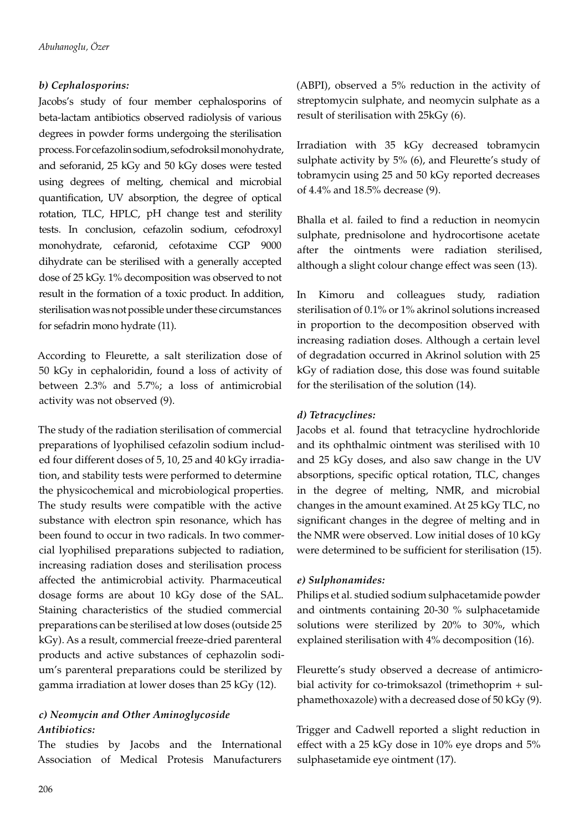### *b) Cephalosporins:*

Jacobs's study of four member cephalosporins of beta-lactam antibiotics observed radiolysis of various degrees in powder forms undergoing the sterilisation process. For cefazolin sodium, sefodroksil monohydrate, and seforanid, 25 kGy and 50 kGy doses were tested using degrees of melting, chemical and microbial quantification, UV absorption, the degree of optical rotation, TLC, HPLC, pH change test and sterility tests. In conclusion, cefazolin sodium, cefodroxyl monohydrate, cefaronid, cefotaxime CGP 9000 dihydrate can be sterilised with a generally accepted dose of 25 kGy. 1% decomposition was observed to not result in the formation of a toxic product. In addition, sterilisation was not possible under these circumstances for sefadrin mono hydrate (11).

According to Fleurette, a salt sterilization dose of 50 kGy in cephaloridin, found a loss of activity of between 2.3% and 5.7%; a loss of antimicrobial activity was not observed (9).

The study of the radiation sterilisation of commercial preparations of lyophilised cefazolin sodium included four different doses of 5, 10, 25 and 40 kGy irradiation, and stability tests were performed to determine the physicochemical and microbiological properties. The study results were compatible with the active substance with electron spin resonance, which has been found to occur in two radicals. In two commercial lyophilised preparations subjected to radiation, increasing radiation doses and sterilisation process affected the antimicrobial activity. Pharmaceutical dosage forms are about 10 kGy dose of the SAL. Staining characteristics of the studied commercial preparations can be sterilised at low doses (outside 25 kGy). As a result, commercial freeze-dried parenteral products and active substances of cephazolin sodium's parenteral preparations could be sterilized by gamma irradiation at lower doses than 25 kGy (12).

#### *c) Neomycin and Other Aminoglycoside Antibiotics:*

The studies by Jacobs and the International Association of Medical Protesis Manufacturers

(ABPI), observed a 5% reduction in the activity of streptomycin sulphate, and neomycin sulphate as a result of sterilisation with 25kGy (6).

Irradiation with 35 kGy decreased tobramycin sulphate activity by 5% (6), and Fleurette's study of tobramycin using 25 and 50 kGy reported decreases of 4.4% and 18.5% decrease (9).

Bhalla et al. failed to find a reduction in neomycin sulphate, prednisolone and hydrocortisone acetate after the ointments were radiation sterilised, although a slight colour change effect was seen (13).

In Kimoru and colleagues study, radiation sterilisation of 0.1% or 1% akrinol solutions increased in proportion to the decomposition observed with increasing radiation doses. Although a certain level of degradation occurred in Akrinol solution with 25 kGy of radiation dose, this dose was found suitable for the sterilisation of the solution (14).

#### *d) Tetracyclines:*

Jacobs et al. found that tetracycline hydrochloride and its ophthalmic ointment was sterilised with 10 and 25 kGy doses, and also saw change in the UV absorptions, specific optical rotation, TLC, changes in the degree of melting, NMR, and microbial changes in the amount examined. At 25 kGy TLC, no significant changes in the degree of melting and in the NMR were observed. Low initial doses of 10 kGy were determined to be sufficient for sterilisation (15).

#### *e) Sulphonamides:*

Philips et al. studied sodium sulphacetamide powder and ointments containing 20-30 % sulphacetamide solutions were sterilized by 20% to 30%, which explained sterilisation with 4% decomposition (16).

Fleurette's study observed a decrease of antimicrobial activity for co-trimoksazol (trimethoprim + sulphamethoxazole) with a decreased dose of 50 kGy (9).

Trigger and Cadwell reported a slight reduction in effect with a 25 kGy dose in 10% eye drops and 5% sulphasetamide eye ointment (17).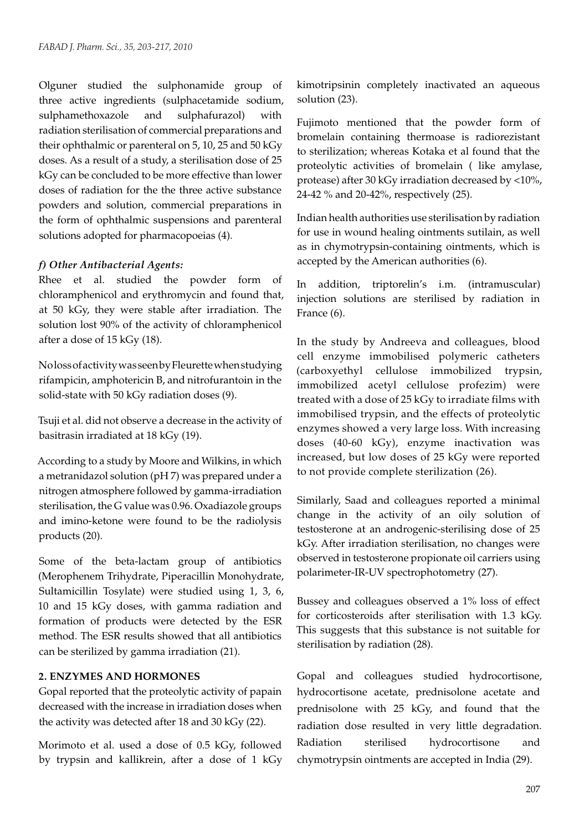Olguner studied the sulphonamide group of three active ingredients (sulphacetamide sodium, sulphamethoxazole and sulphafurazol) with radiation sterilisation of commercial preparations and their ophthalmic or parenteral on 5, 10, 25 and 50 kGy doses. As a result of a study, a sterilisation dose of 25 kGy can be concluded to be more effective than lower doses of radiation for the the three active substance powders and solution, commercial preparations in the form of ophthalmic suspensions and parenteral solutions adopted for pharmacopoeias (4).

#### *f) Other Antibacterial Agents:*

Rhee et al. studied the powder form of chloramphenicol and erythromycin and found that, at 50 kGy, they were stable after irradiation. The solution lost 90% of the activity of chloramphenicol after a dose of 15 kGy (18).

No loss of activity was seen by Fleurette when studying rifampicin, amphotericin B, and nitrofurantoin in the solid-state with 50 kGy radiation doses (9).

Tsuji et al. did not observe a decrease in the activity of basitrasin irradiated at 18 kGy (19).

According to a study by Moore and Wilkins, in which a metranidazol solution (pH 7) was prepared under a nitrogen atmosphere followed by gamma-irradiation sterilisation, the G value was 0.96. Oxadiazole groups and imino-ketone were found to be the radiolysis products (20).

Some of the beta-lactam group of antibiotics (Merophenem Trihydrate, Piperacillin Monohydrate, Sultamicillin Tosylate) were studied using 1, 3, 6, 10 and 15 kGy doses, with gamma radiation and formation of products were detected by the ESR method. The ESR results showed that all antibiotics can be sterilized by gamma irradiation (21).

#### **2. ENZYMES AND HORMONES**

Gopal reported that the proteolytic activity of papain decreased with the increase in irradiation doses when the activity was detected after 18 and 30 kGy (22).

Morimoto et al. used a dose of 0.5 kGy, followed by trypsin and kallikrein, after a dose of 1 kGy kimotripsinin completely inactivated an aqueous solution (23).

Fujimoto mentioned that the powder form of bromelain containing thermoase is radiorezistant to sterilization; whereas Kotaka et al found that the proteolytic activities of bromelain ( like amylase, protease) after 30 kGy irradiation decreased by <10%, 24-42 % and 20-42%, respectively (25).

Indian health authorities use sterilisation by radiation for use in wound healing ointments sutilain, as well as in chymotrypsin-containing ointments, which is accepted by the American authorities (6).

In addition, triptorelin's i.m. (intramuscular) injection solutions are sterilised by radiation in France (6).

In the study by Andreeva and colleagues, blood cell enzyme immobilised polymeric catheters (carboxyethyl cellulose immobilized trypsin, immobilized acetyl cellulose profezim) were treated with a dose of 25 kGy to irradiate films with immobilised trypsin, and the effects of proteolytic enzymes showed a very large loss. With increasing doses (40-60 kGy), enzyme inactivation was increased, but low doses of 25 kGy were reported to not provide complete sterilization (26).

Similarly, Saad and colleagues reported a minimal change in the activity of an oily solution of testosterone at an androgenic-sterilising dose of 25 kGy. After irradiation sterilisation, no changes were observed in testosterone propionate oil carriers using polarimeter-IR-UV spectrophotometry (27).

Bussey and colleagues observed a 1% loss of effect for corticosteroids after sterilisation with 1.3 kGy. This suggests that this substance is not suitable for sterilisation by radiation (28).

Gopal and colleagues studied hydrocortisone, hydrocortisone acetate, prednisolone acetate and prednisolone with 25 kGy, and found that the radiation dose resulted in very little degradation. Radiation sterilised hydrocortisone and chymotrypsin ointments are accepted in India (29).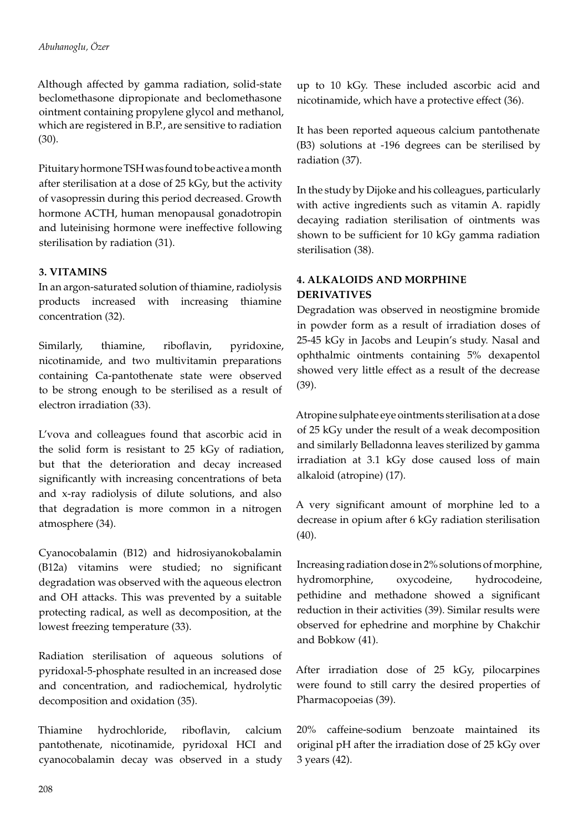Although affected by gamma radiation, solid-state beclomethasone dipropionate and beclomethasone ointment containing propylene glycol and methanol, which are registered in B.P., are sensitive to radiation (30).

Pituitary hormone TSH was found to be active a month after sterilisation at a dose of 25 kGy, but the activity of vasopressin during this period decreased. Growth hormone ACTH, human menopausal gonadotropin and luteinising hormone were ineffective following sterilisation by radiation (31).

## **3. VITAMINS**

In an argon-saturated solution of thiamine, radiolysis products increased with increasing thiamine concentration (32).

Similarly, thiamine, riboflavin, pyridoxine, nicotinamide, and two multivitamin preparations containing Ca-pantothenate state were observed to be strong enough to be sterilised as a result of electron irradiation (33).

L'vova and colleagues found that ascorbic acid in the solid form is resistant to 25 kGy of radiation, but that the deterioration and decay increased significantly with increasing concentrations of beta and x-ray radiolysis of dilute solutions, and also that degradation is more common in a nitrogen atmosphere (34).

Cyanocobalamin (B12) and hidrosiyanokobalamin (B12a) vitamins were studied; no significant degradation was observed with the aqueous electron and OH attacks. This was prevented by a suitable protecting radical, as well as decomposition, at the lowest freezing temperature (33).

Radiation sterilisation of aqueous solutions of pyridoxal-5-phosphate resulted in an increased dose and concentration, and radiochemical, hydrolytic decomposition and oxidation (35).

Thiamine hydrochloride, riboflavin, calcium pantothenate, nicotinamide, pyridoxal HCI and cyanocobalamin decay was observed in a study up to 10 kGy. These included ascorbic acid and nicotinamide, which have a protective effect (36).

It has been reported aqueous calcium pantothenate (B3) solutions at -196 degrees can be sterilised by radiation (37).

In the study by Dijoke and his colleagues, particularly with active ingredients such as vitamin A. rapidly decaying radiation sterilisation of ointments was shown to be sufficient for 10 kGy gamma radiation sterilisation (38).

# **4. ALKALOIDS AND MORPHINE DERIVATIVES**

Degradation was observed in neostigmine bromide in powder form as a result of irradiation doses of 25-45 kGy in Jacobs and Leupin's study. Nasal and ophthalmic ointments containing 5% dexapentol showed very little effect as a result of the decrease (39).

Atropine sulphate eye ointments sterilisation at a dose of 25 kGy under the result of a weak decomposition and similarly Belladonna leaves sterilized by gamma irradiation at 3.1 kGy dose caused loss of main alkaloid (atropine) (17).

A very significant amount of morphine led to a decrease in opium after 6 kGy radiation sterilisation (40).

Increasing radiation dose in 2% solutions of morphine, hydromorphine, oxycodeine, hydrocodeine, pethidine and methadone showed a significant reduction in their activities (39). Similar results were observed for ephedrine and morphine by Chakchir and Bobkow (41).

After irradiation dose of 25 kGy, pilocarpines were found to still carry the desired properties of Pharmacopoeias (39).

20% caffeine-sodium benzoate maintained its original pH after the irradiation dose of 25 kGy over 3 years (42).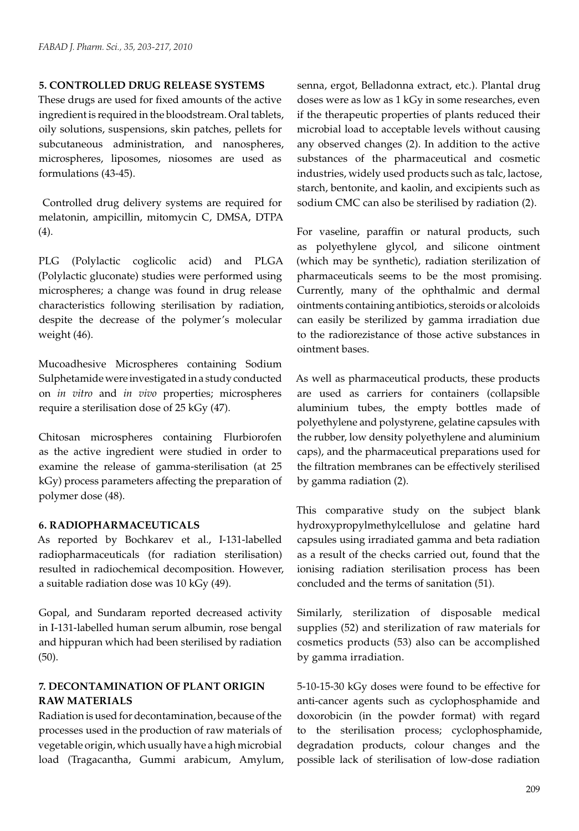#### **5. CONTROLLED DRUG RELEASE SYSTEMS**

These drugs are used for fixed amounts of the active ingredient is required in the bloodstream. Oral tablets, oily solutions, suspensions, skin patches, pellets for subcutaneous administration, and nanospheres, microspheres, liposomes, niosomes are used as formulations (43-45).

 Controlled drug delivery systems are required for melatonin, ampicillin, mitomycin C, DMSA, DTPA (4).

PLG (Polylactic coglicolic acid) and PLGA (Polylactic gluconate) studies were performed using microspheres; a change was found in drug release characteristics following sterilisation by radiation, despite the decrease of the polymer's molecular weight (46).

Mucoadhesive Microspheres containing Sodium Sulphetamide were investigated in a study conducted on *in vitro* and *in vivo* properties; microspheres require a sterilisation dose of 25 kGy (47).

Chitosan microspheres containing Flurbiorofen as the active ingredient were studied in order to examine the release of gamma-sterilisation (at 25 kGy) process parameters affecting the preparation of polymer dose (48).

#### **6. RADIOPHARMACEUTICALS**

As reported by Bochkarev et al., I-131-labelled radiopharmaceuticals (for radiation sterilisation) resulted in radiochemical decomposition. However, a suitable radiation dose was 10 kGy (49).

Gopal, and Sundaram reported decreased activity in I-131-labelled human serum albumin, rose bengal and hippuran which had been sterilised by radiation (50).

## **7. DECONTAMINATION OF PLANT ORIGIN RAW MATERIALS**

Radiation is used for decontamination, because of the processes used in the production of raw materials of vegetable origin, which usually have a high microbial load (Tragacantha, Gummi arabicum, Amylum, senna, ergot, Belladonna extract, etc.). Plantal drug doses were as low as 1 kGy in some researches, even if the therapeutic properties of plants reduced their microbial load to acceptable levels without causing any observed changes (2). In addition to the active substances of the pharmaceutical and cosmetic industries, widely used products such as talc, lactose, starch, bentonite, and kaolin, and excipients such as sodium CMC can also be sterilised by radiation (2).

For vaseline, paraffin or natural products, such as polyethylene glycol, and silicone ointment (which may be synthetic), radiation sterilization of pharmaceuticals seems to be the most promising. Currently, many of the ophthalmic and dermal ointments containing antibiotics, steroids or alcoloids can easily be sterilized by gamma irradiation due to the radiorezistance of those active substances in ointment bases.

As well as pharmaceutical products, these products are used as carriers for containers (collapsible aluminium tubes, the empty bottles made of polyethylene and polystyrene, gelatine capsules with the rubber, low density polyethylene and aluminium caps), and the pharmaceutical preparations used for the filtration membranes can be effectively sterilised by gamma radiation (2).

This comparative study on the subject blank hydroxypropylmethylcellulose and gelatine hard capsules using irradiated gamma and beta radiation as a result of the checks carried out, found that the ionising radiation sterilisation process has been concluded and the terms of sanitation (51).

Similarly, sterilization of disposable medical supplies (52) and sterilization of raw materials for cosmetics products (53) also can be accomplished by gamma irradiation.

5-10-15-30 kGy doses were found to be effective for anti-cancer agents such as cyclophosphamide and doxorobicin (in the powder format) with regard to the sterilisation process; cyclophosphamide, degradation products, colour changes and the possible lack of sterilisation of low-dose radiation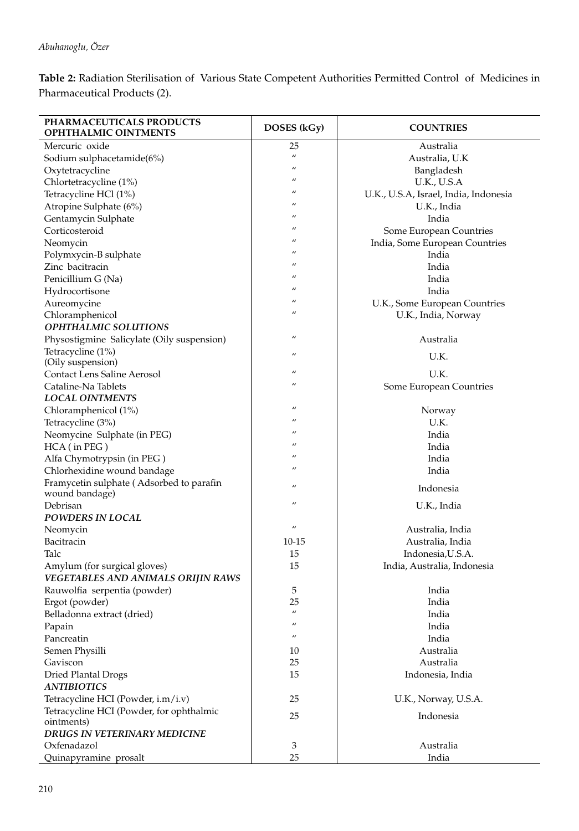**Table 2:** Radiation Sterilisation of Various State Competent Authorities Permitted Control of Medicines in Pharmaceutical Products (2).

| PHARMACEUTICALS PRODUCTS<br>OPHTHALMIC OINTMENTS | DOSES (kGy)       | <b>COUNTRIES</b>                      |
|--------------------------------------------------|-------------------|---------------------------------------|
| Mercuric oxide                                   | 25                | Australia                             |
| Sodium sulphacetamide(6%)                        | $\prime$          | Australia, U.K                        |
| Oxytetracycline                                  | $\mu$             | Bangladesh                            |
| Chlortetracycline (1%)                           | $\prime$          | <b>U.K., U.S.A</b>                    |
| Tetracycline HCl (1%)                            | $\prime$          | U.K., U.S.A, Israel, India, Indonesia |
| Atropine Sulphate (6%)                           | $\prime$          | U.K., India                           |
| Gentamycin Sulphate                              | $\prime\prime$    | India                                 |
| Corticosteroid                                   | $\prime$          | Some European Countries               |
| Neomycin                                         | $\mu$             | India, Some European Countries        |
| Polymxycin-B sulphate                            | $^{\prime\prime}$ | India                                 |
| Zinc bacitracin                                  | $\prime$          | India                                 |
| Penicillium G (Na)                               | $\prime\prime$    | India                                 |
| Hydrocortisone                                   | $\prime$          | India                                 |
| Aureomycine                                      | $\prime\prime$    | U.K., Some European Countries         |
| Chloramphenicol                                  | $\prime$          | U.K., India, Norway                   |
| <b>OPHTHALMIC SOLUTIONS</b>                      |                   |                                       |
| Physostigmine Salicylate (Oily suspension)       | $\prime\prime$    | Australia                             |
| Tetracycline (1%)                                |                   |                                       |
| (Oily suspension)                                | $\prime\prime$    | U.K.                                  |
| <b>Contact Lens Saline Aerosol</b>               | $\prime\prime$    | U.K.                                  |
| Cataline-Na Tablets                              | $\prime\prime$    | Some European Countries               |
| <b>LOCAL OINTMENTS</b>                           |                   |                                       |
| Chloramphenicol (1%)                             | $\prime$          | Norway                                |
| Tetracycline (3%)                                | $\prime\prime$    | U.K.                                  |
| Neomycine Sulphate (in PEG)                      | $\prime\prime$    | India                                 |
| HCA (in PEG)                                     | $\prime$          | India                                 |
| Alfa Chymotrypsin (in PEG)                       | $\prime\prime$    | India                                 |
| Chlorhexidine wound bandage                      | $\prime\prime$    | India                                 |
| Framycetin sulphate (Adsorbed to parafin         |                   |                                       |
| wound bandage)                                   | $\prime\prime$    | Indonesia                             |
| Debrisan                                         | $\prime\prime$    | U.K., India                           |
| POWDERS IN LOCAL                                 |                   |                                       |
| Neomycin                                         | $\overline{u}$    | Australia, India                      |
| Bacitracin                                       | $10 - 15$         | Australia, India                      |
| Talc                                             | 15                | Indonesia, U.S.A.                     |
| Amylum (for surgical gloves)                     | 15                | India, Australia, Indonesia           |
| VEGETABLES AND ANIMALS ORIJIN RAWS               |                   |                                       |
| Rauwolfia serpentia (powder)                     | 5                 | India                                 |
| Ergot (powder)                                   | 25                | India                                 |
| Belladonna extract (dried)                       | $\prime\prime$    | India                                 |
| Papain                                           | $\prime\prime$    | India                                 |
| Pancreatin                                       | $\prime\prime$    | India                                 |
| Semen Physilli                                   | 10                | Australia                             |
| Gaviscon                                         | 25                | Australia                             |
| <b>Dried Plantal Drogs</b>                       | 15                | Indonesia, India                      |
| <b>ANTIBIOTICS</b>                               |                   |                                       |
| Tetracycline HCI (Powder, i.m/i.v)               | 25                | U.K., Norway, U.S.A.                  |
| Tetracycline HCI (Powder, for ophthalmic         |                   |                                       |
| ointments)                                       | 25                | Indonesia                             |
| <b>DRUGS IN VETERINARY MEDICINE</b>              |                   |                                       |
| Oxfenadazol                                      | 3                 | Australia                             |
| Quinapyramine prosalt                            | 25                | India                                 |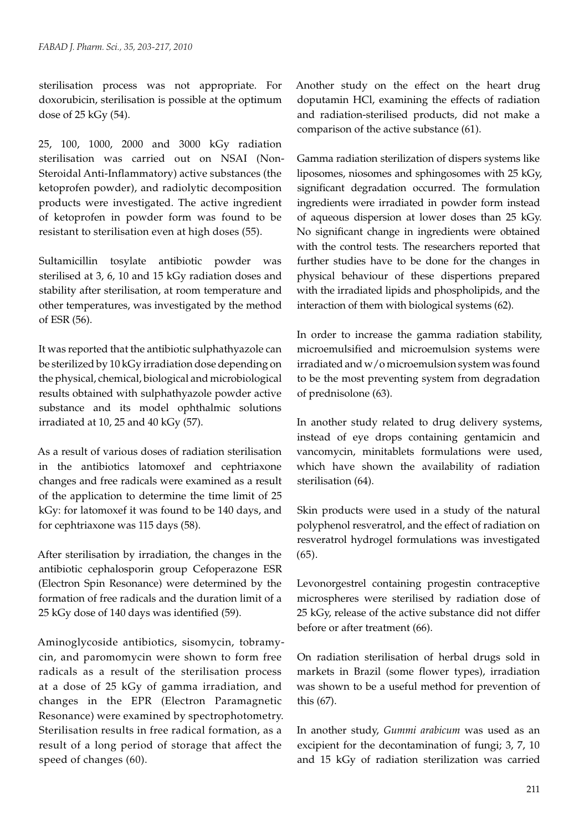sterilisation process was not appropriate. For doxorubicin, sterilisation is possible at the optimum dose of 25 kGy (54).

25, 100, 1000, 2000 and 3000 kGy radiation sterilisation was carried out on NSAI (Non-Steroidal Anti-Inflammatory) active substances (the ketoprofen powder), and radiolytic decomposition products were investigated. The active ingredient of ketoprofen in powder form was found to be resistant to sterilisation even at high doses (55).

Sultamicillin tosylate antibiotic powder was sterilised at 3, 6, 10 and 15 kGy radiation doses and stability after sterilisation, at room temperature and other temperatures, was investigated by the method of ESR (56).

It was reported that the antibiotic sulphathyazole can be sterilized by 10 kGy irradiation dose depending on the physical, chemical, biological and microbiological results obtained with sulphathyazole powder active substance and its model ophthalmic solutions irradiated at 10, 25 and 40 kGy (57).

As a result of various doses of radiation sterilisation in the antibiotics latomoxef and cephtriaxone changes and free radicals were examined as a result of the application to determine the time limit of 25 kGy: for latomoxef it was found to be 140 days, and for cephtriaxone was 115 days (58).

After sterilisation by irradiation, the changes in the antibiotic cephalosporin group Cefoperazone ESR (Electron Spin Resonance) were determined by the formation of free radicals and the duration limit of a 25 kGy dose of 140 days was identified (59).

Aminoglycoside antibiotics, sisomycin, tobramycin, and paromomycin were shown to form free radicals as a result of the sterilisation process at a dose of 25 kGy of gamma irradiation, and changes in the EPR (Electron Paramagnetic Resonance) were examined by spectrophotometry. Sterilisation results in free radical formation, as a result of a long period of storage that affect the speed of changes (60).

Another study on the effect on the heart drug doputamin HCl, examining the effects of radiation and radiation-sterilised products, did not make a comparison of the active substance (61).

Gamma radiation sterilization of dispers systems like liposomes, niosomes and sphingosomes with 25 kGy, significant degradation occurred. The formulation ingredients were irradiated in powder form instead of aqueous dispersion at lower doses than 25 kGy. No significant change in ingredients were obtained with the control tests. The researchers reported that further studies have to be done for the changes in physical behaviour of these dispertions prepared with the irradiated lipids and phospholipids, and the interaction of them with biological systems (62).

In order to increase the gamma radiation stability, microemulsified and microemulsion systems were irradiated and w/o microemulsion system was found to be the most preventing system from degradation of prednisolone (63).

In another study related to drug delivery systems, instead of eye drops containing gentamicin and vancomycin, minitablets formulations were used, which have shown the availability of radiation sterilisation (64).

Skin products were used in a study of the natural polyphenol resveratrol, and the effect of radiation on resveratrol hydrogel formulations was investigated (65).

Levonorgestrel containing progestin contraceptive microspheres were sterilised by radiation dose of 25 kGy, release of the active substance did not differ before or after treatment (66).

On radiation sterilisation of herbal drugs sold in markets in Brazil (some flower types), irradiation was shown to be a useful method for prevention of this (67).

In another study, *Gummi arabicum* was used as an excipient for the decontamination of fungi; 3, 7, 10 and 15 kGy of radiation sterilization was carried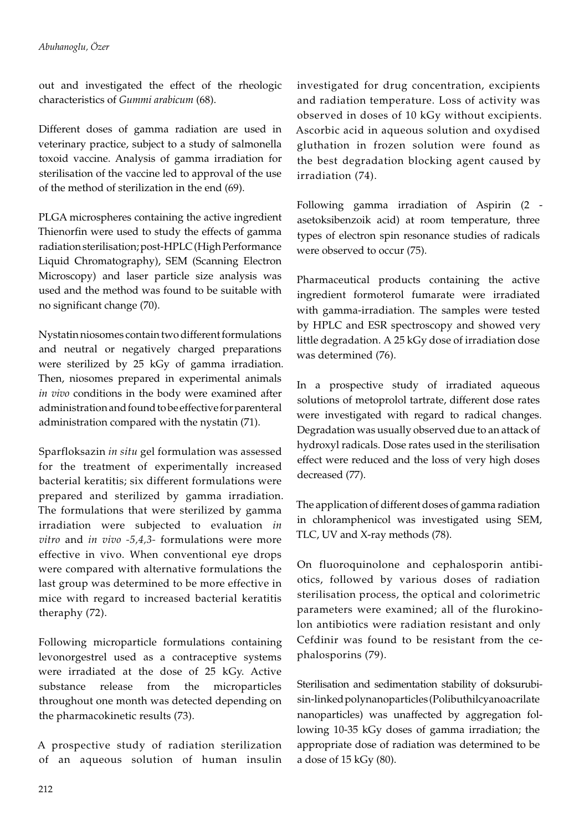out and investigated the effect of the rheologic characteristics of *Gummi arabicum* (68).

Different doses of gamma radiation are used in veterinary practice, subject to a study of salmonella toxoid vaccine. Analysis of gamma irradiation for sterilisation of the vaccine led to approval of the use of the method of sterilization in the end (69).

PLGA microspheres containing the active ingredient Thienorfin were used to study the effects of gamma radiation sterilisation; post-HPLC (High Performance Liquid Chromatography), SEM (Scanning Electron Microscopy) and laser particle size analysis was used and the method was found to be suitable with no significant change (70).

Nystatin niosomes contain two different formulations and neutral or negatively charged preparations were sterilized by 25 kGy of gamma irradiation. Then, niosomes prepared in experimental animals *in vivo* conditions in the body were examined after administration and found to be effective for parenteral administration compared with the nystatin (71).

Sparfloksazin *in situ* gel formulation was assessed for the treatment of experimentally increased bacterial keratitis; six different formulations were prepared and sterilized by gamma irradiation. The formulations that were sterilized by gamma irradiation were subjected to evaluation *in vitro* and *in vivo -5,4,3-* formulations were more effective in vivo. When conventional eye drops were compared with alternative formulations the last group was determined to be more effective in mice with regard to increased bacterial keratitis theraphy (72).

Following microparticle formulations containing levonorgestrel used as a contraceptive systems were irradiated at the dose of 25 kGy. Active substance release from the microparticles throughout one month was detected depending on the pharmacokinetic results (73).

A prospective study of radiation sterilization of an aqueous solution of human insulin

investigated for drug concentration, excipients and radiation temperature. Loss of activity was observed in doses of 10 kGy without excipients. Ascorbic acid in aqueous solution and oxydised gluthation in frozen solution were found as the best degradation blocking agent caused by irradiation (74).

Following gamma irradiation of Aspirin (2 asetoksibenzoik acid) at room temperature, three types of electron spin resonance studies of radicals were observed to occur (75).

Pharmaceutical products containing the active ingredient formoterol fumarate were irradiated with gamma-irradiation. The samples were tested by HPLC and ESR spectroscopy and showed very little degradation. A 25 kGy dose of irradiation dose was determined (76).

In a prospective study of irradiated aqueous solutions of metoprolol tartrate, different dose rates were investigated with regard to radical changes. Degradation was usually observed due to an attack of hydroxyl radicals. Dose rates used in the sterilisation effect were reduced and the loss of very high doses decreased (77).

The application of different doses of gamma radiation in chloramphenicol was investigated using SEM, TLC, UV and X-ray methods (78).

On fluoroquinolone and cephalosporin antibiotics, followed by various doses of radiation sterilisation process, the optical and colorimetric parameters were examined; all of the flurokinolon antibiotics were radiation resistant and only Cefdinir was found to be resistant from the cephalosporins (79).

Sterilisation and sedimentation stability of doksurubisin-linked polynanoparticles (Polibuthilcyanoacrilate nanoparticles) was unaffected by aggregation following 10-35 kGy doses of gamma irradiation; the appropriate dose of radiation was determined to be a dose of 15 kGy (80).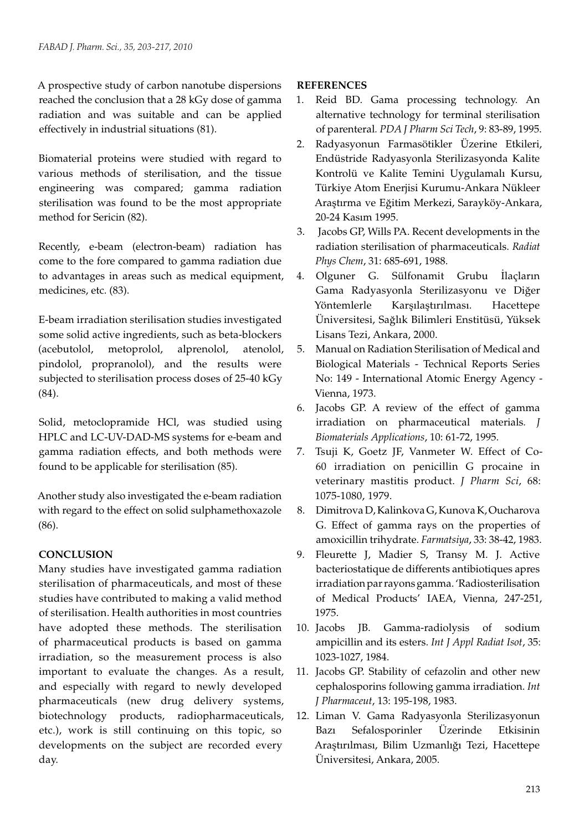A prospective study of carbon nanotube dispersions reached the conclusion that a 28 kGy dose of gamma radiation and was suitable and can be applied effectively in industrial situations (81).

Biomaterial proteins were studied with regard to various methods of sterilisation, and the tissue engineering was compared; gamma radiation sterilisation was found to be the most appropriate method for Sericin (82).

Recently, e-beam (electron-beam) radiation has come to the fore compared to gamma radiation due to advantages in areas such as medical equipment, medicines, etc. (83).

E-beam irradiation sterilisation studies investigated some solid active ingredients, such as beta-blockers (acebutolol, metoprolol, alprenolol, atenolol, pindolol, propranolol), and the results were subjected to sterilisation process doses of 25-40 kGy (84).

Solid, metoclopramide HCl, was studied using HPLC and LC-UV-DAD-MS systems for e-beam and gamma radiation effects, and both methods were found to be applicable for sterilisation (85).

Another study also investigated the e-beam radiation with regard to the effect on solid sulphamethoxazole (86).

# **CONCLUSION**

Many studies have investigated gamma radiation sterilisation of pharmaceuticals, and most of these studies have contributed to making a valid method of sterilisation. Health authorities in most countries have adopted these methods. The sterilisation of pharmaceutical products is based on gamma irradiation, so the measurement process is also important to evaluate the changes. As a result, and especially with regard to newly developed pharmaceuticals (new drug delivery systems, biotechnology products, radiopharmaceuticals, etc.), work is still continuing on this topic, so developments on the subject are recorded every day.

# **REFERENCES**

- 1. Reid BD. Gama processing technology. An alternative technology for terminal sterilisation of parenteral*. PDA J Pharm Sci Tech*, 9: 83-89, 1995.
- 2. Radyasyonun Farmasötikler Üzerine Etkileri, Endüstride Radyasyonla Sterilizasyonda Kalite Kontrolü ve Kalite Temini Uygulamalı Kursu, Türkiye Atom Enerjisi Kurumu-Ankara Nükleer Araştırma ve Eğitim Merkezi, Sarayköy-Ankara, 20-24 Kasım 1995.
- 3. Jacobs GP, Wills PA. Recent developments in the radiation sterilisation of pharmaceuticals. *Radiat Phys Chem*, 31: 685-691, 1988.
- 4. Olguner G. Sülfonamit Grubu İlaçların Gama Radyasyonla Sterilizasyonu ve Diğer Yöntemlerle Karşılaştırılması. Hacettepe Üniversitesi, Sağlık Bilimleri Enstitüsü, Yüksek Lisans Tezi, Ankara, 2000.
- 5. Manual on Radiation Sterilisation of Medical and Biological Materials - Technical Reports Series No: 149 - International Atomic Energy Agency - Vienna, 1973.
- 6. Jacobs GP. A review of the effect of gamma irradiation on pharmaceutical materials*. J Biomaterials Applications*, 10: 61-72, 1995.
- 7. Tsuji K, Goetz JF, Vanmeter W. Effect of Co-60 irradiation on penicillin G procaine in veterinary mastitis product. *J Pharm Sci*, 68: 1075-1080, 1979.
- 8. Dimitrova D, Kalinkova G, Kunova K, Oucharova G. Effect of gamma rays on the properties of amoxicillin trihydrate. *Farmatsiya*, 33: 38-42, 1983.
- 9. Fleurette J, Madier S, Transy M. J. Active bacteriostatique de differents antibiotiques apres irradiation par rayons gamma. 'Radiosterilisation of Medical Products' IAEA, Vienna, 247-251, 1975.
- 10. Jacobs JB. Gamma-radiolysis of sodium ampicillin and its esters. *Int J Appl Radiat Isot*, 35: 1023-1027, 1984.
- 11. Jacobs GP. Stability of cefazolin and other new cephalosporins following gamma irradiation. *Int J Pharmaceut*, 13: 195-198, 1983.
- 12. Liman V. Gama Radyasyonla Sterilizasyonun Bazı Sefalosporinler Üzerinde Etkisinin Araştırılması, Bilim Uzmanlığı Tezi, Hacettepe Üniversitesi, Ankara, 2005.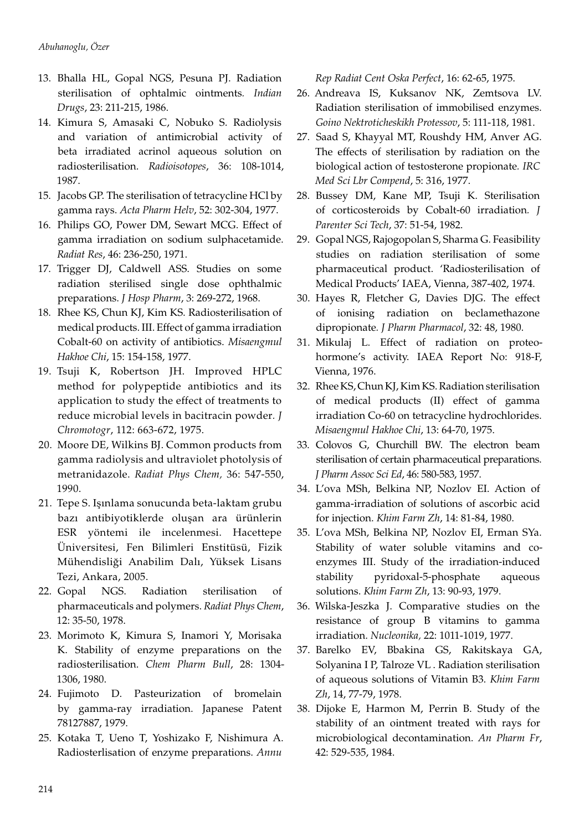- 13. Bhalla HL, Gopal NGS, Pesuna PJ. Radiation sterilisation of ophtalmic ointments*. Indian Drugs*, 23: 211-215, 1986.
- 14. Kimura S, Amasaki C, Nobuko S. Radiolysis and variation of antimicrobial activity of beta irradiated acrinol aqueous solution on radiosterilisation. *Radioisotopes*, 36: 108-1014, 1987.
- 15. Jacobs GP. The sterilisation of tetracycline HCl by gamma rays. *Acta Pharm Helv*, 52: 302-304, 1977.
- 16. Philips GO, Power DM, Sewart MCG. Effect of gamma irradiation on sodium sulphacetamide. *Radiat Res*, 46: 236-250, 1971.
- 17. Trigger DJ, Caldwell ASS. Studies on some radiation sterilised single dose ophthalmic preparations. *J Hosp Pharm*, 3: 269-272, 1968.
- 18. Rhee KS, Chun KJ, Kim KS. Radiosterilisation of medical products. III. Effect of gamma irradiation Cobalt-60 on activity of antibiotics. *Misaengmul Hakhoe Chi*, 15: 154-158, 1977.
- 19. Tsuji K, Robertson JH. Improved HPLC method for polypeptide antibiotics and its application to study the effect of treatments to reduce microbial levels in bacitracin powder*. J Chromotogr*, 112: 663-672, 1975.
- 20. Moore DE, Wilkins BJ. Common products from gamma radiolysis and ultraviolet photolysis of metranidazole. *Radiat Phys Chem,* 36: 547-550, 1990.
- 21. Tepe S. Işınlama sonucunda beta-laktam grubu bazı antibiyotiklerde oluşan ara ürünlerin ESR yöntemi ile incelenmesi. Hacettepe Üniversitesi, Fen Bilimleri Enstitüsü, Fizik Mühendisliği Anabilim Dalı, Yüksek Lisans Tezi, Ankara, 2005.
- 22. Gopal NGS. Radiation sterilisation of pharmaceuticals and polymers. *Radiat Phys Chem*, 12: 35-50, 1978.
- 23. Morimoto K, Kimura S, Inamori Y, Morisaka K. Stability of enzyme preparations on the radiosterilisation. *Chem Pharm Bull*, 28: 1304- 1306, 1980.
- 24. Fujimoto D. Pasteurization of bromelain by gamma-ray irradiation. Japanese Patent 78127887, 1979.
- 25. Kotaka T, Ueno T, Yoshizako F, Nishimura A. Radiosterlisation of enzyme preparations. *Annu*

*Rep Radiat Cent Oska Perfect*, 16: 62-65, 1975.

- 26. Andreava IS, Kuksanov NK, Zemtsova LV. Radiation sterilisation of immobilised enzymes. *Goino Nektroticheskikh Protessov*, 5: 111-118, 1981.
- 27. Saad S, Khayyal MT, Roushdy HM, Anver AG. The effects of sterilisation by radiation on the biological action of testosterone propionate*. IRC Med Sci Lbr Compend*, 5: 316, 1977.
- 28. Bussey DM, Kane MP, Tsuji K. Sterilisation of corticosteroids by Cobalt-60 irradiation*. J Parenter Sci Tech*, 37: 51-54, 1982.
- 29. Gopal NGS, Rajogopolan S, Sharma G. Feasibility studies on radiation sterilisation of some pharmaceutical product. 'Radiosterilisation of Medical Products' IAEA, Vienna, 387-402, 1974.
- 30. Hayes R, Fletcher G, Davies DJG. The effect of ionising radiation on beclamethazone dipropionate*. J Pharm Pharmacol*, 32: 48, 1980.
- 31. Mikulaj L. Effect of radiation on proteohormone's activity. IAEA Report No: 918-F, Vienna, 1976.
- 32. Rhee KS, Chun KJ, Kim KS. Radiation sterilisation of medical products (II) effect of gamma irradiation Co-60 on tetracycline hydrochlorides. *Misaengmul Hakhoe Chi*, 13: 64-70, 1975.
- 33. Colovos G, Churchill BW. The electron beam sterilisation of certain pharmaceutical preparations. *J Pharm Assoc Sci Ed*, 46: 580-583, 1957.
- 34. L'ova MSh, Belkina NP, Nozlov EI. Action of gamma-irradiation of solutions of ascorbic acid for injection. *Khim Farm Zh*, 14: 81-84, 1980.
- 35. L'ova MSh, Belkina NP, Nozlov EI, Erman SYa. Stability of water soluble vitamins and coenzymes III. Study of the irradiation-induced stability pyridoxal-5-phosphate aqueous solutions. *Khim Farm Zh*, 13: 90-93, 1979.
- 36. Wilska-Jeszka J. Comparative studies on the resistance of group B vitamins to gamma irradiation. *Nucleonika,* 22: 1011-1019, 1977.
- 37. Barelko EV, Bbakina GS, Rakitskaya GA, Solyanina I P, Talroze VL . Radiation sterilisation of aqueous solutions of Vitamin B3. *Khim Farm Zh*, 14, 77-79, 1978.
- 38. Dijoke E, Harmon M, Perrin B. Study of the stability of an ointment treated with rays for microbiological decontamination. *An Pharm Fr*, 42: 529-535, 1984.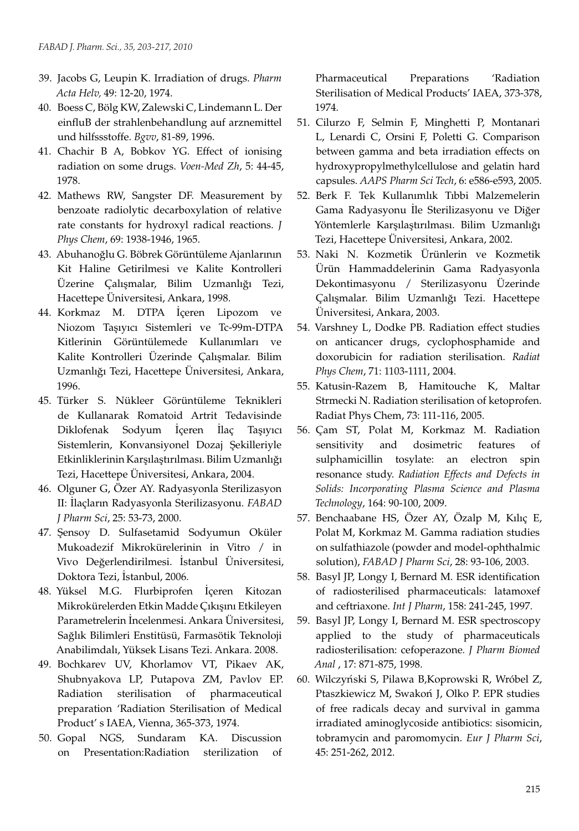- 39. Jacobs G, Leupin K. Irradiation of drugs. *Pharm Acta Helv,* 49: 12-20, 1974.
- 40. Boess C, Bölg KW, Zalewski C, Lindemann L. Der einfluB der strahlenbehandlung auf arznemittel und hilfssstoffe. *Bgvv*, 81-89, 1996.
- 41. Chachir B A, Bobkov YG. Effect of ionising radiation on some drugs. *Voen-Med Zh*, 5: 44-45, 1978.
- 42. Mathews RW, Sangster DF. Measurement by benzoate radiolytic decarboxylation of relative rate constants for hydroxyl radical reactions. *J Phys Chem*, 69: 1938-1946, 1965.
- 43. Abuhanoğlu G. Böbrek Görüntüleme Ajanlarının Kit Haline Getirilmesi ve Kalite Kontrolleri Üzerine Çalışmalar, Bilim Uzmanlığı Tezi, Hacettepe Üniversitesi, Ankara, 1998.
- 44. Korkmaz M. DTPA İçeren Lipozom ve Niozom Taşıyıcı Sistemleri ve Tc-99m-DTPA Kitlerinin Görüntülemede Kullanımları ve Kalite Kontrolleri Üzerinde Çalışmalar. Bilim Uzmanlığı Tezi, Hacettepe Üniversitesi, Ankara, 1996.
- 45. Türker S. Nükleer Görüntüleme Teknikleri de Kullanarak Romatoid Artrit Tedavisinde Diklofenak Sodyum İçeren İlaç Taşıyıcı Sistemlerin, Konvansiyonel Dozaj Şekilleriyle Etkinliklerinin Karşılaştırılması. Bilim Uzmanlığı Tezi, Hacettepe Üniversitesi, Ankara, 2004.
- 46. Olguner G, Özer AY. Radyasyonla Sterilizasyon II: İlaçların Radyasyonla Sterilizasyonu. *FABAD J Pharm Sci*, 25: 53-73, 2000.
- 47. Şensoy D. Sulfasetamid Sodyumun Oküler Mukoadezif Mikrokürelerinin in Vitro / in Vivo Değerlendirilmesi. İstanbul Üniversitesi, Doktora Tezi, İstanbul, 2006.
- 48. Yüksel M.G. Flurbiprofen İçeren Kitozan Mikrokürelerden Etkin Madde Çıkışını Etkileyen Parametrelerin İncelenmesi. Ankara Üniversitesi, Sağlık Bilimleri Enstitüsü, Farmasötik Teknoloji Anabilimdalı, Yüksek Lisans Tezi. Ankara. 2008.
- 49. Bochkarev UV, Khorlamov VT, Pikaev AK, Shubnyakova LP, Putapova ZM, Pavlov EP. Radiation sterilisation of pharmaceutical preparation 'Radiation Sterilisation of Medical Product' s IAEA, Vienna, 365-373, 1974.
- 50. Gopal NGS, Sundaram KA. Discussion on Presentation:Radiation sterilization of

Pharmaceutical Preparations 'Radiation Sterilisation of Medical Products' IAEA, 373-378, 1974.

- 51. Cilurzo F, Selmin F, Minghetti P, Montanari L, Lenardi C, Orsini F, Poletti G. Comparison between gamma and beta irradiation effects on hydroxypropylmethylcellulose and gelatin hard capsules. *AAPS Pharm Sci Tech*, 6: e586-e593, 2005.
- 52. Berk F. Tek Kullanımlık Tıbbi Malzemelerin Gama Radyasyonu İle Sterilizasyonu ve Diğer Yöntemlerle Karşılaştırılması. Bilim Uzmanlığı Tezi, Hacettepe Üniversitesi, Ankara, 2002.
- 53. Naki N. Kozmetik Ürünlerin ve Kozmetik Ürün Hammaddelerinin Gama Radyasyonla Dekontimasyonu / Sterilizasyonu Üzerinde Çalışmalar. Bilim Uzmanlığı Tezi. Hacettepe Üniversitesi, Ankara, 2003.
- 54. Varshney L, Dodke PB. Radiation effect studies on anticancer drugs, cyclophosphamide and doxorubicin for radiation sterilisation. *Radiat Phys Chem*, 71: 1103-1111, 2004.
- 55. Katusin-Razem B, Hamitouche K, Maltar Strmecki N. Radiation sterilisation of ketoprofen. Radiat Phys Chem, 73: 111-116, 2005.
- 56. Çam ST, Polat M, Korkmaz M. Radiation sensitivity and dosimetric features of sulphamicillin tosylate: an electron spin resonance study. *Radiation Effects and Defects in Solids: Incorporating Plasma Science and Plasma Technology*, 164: 90-100, 2009.
- 57. Benchaabane HS, Özer AY, Özalp M, Kılıç E, Polat M, Korkmaz M. Gamma radiation studies on sulfathiazole (powder and model-ophthalmic solution), *FABAD J Pharm Sci*, 28: 93-106, 2003.
- 58. Basyl JP, Longy I, Bernard M. ESR identification of radiosterilised pharmaceuticals: latamoxef and ceftriaxone. *Int J Pharm*, 158: 241-245, 1997.
- 59. Basyl JP, Longy I, Bernard M. ESR spectroscopy applied to the study of pharmaceuticals radiosterilisation: cefoperazone*. J Pharm Biomed Anal* , 17: 871-875, 1998.
- 60. Wilczyński S, Pilawa B,Koprowski R, Wróbel Z, Ptaszkiewicz M, Swakoń J, Olko P. EPR studies of free radicals decay and survival in gamma irradiated aminoglycoside antibiotics: sisomicin, tobramycin and paromomycin. *Eur J Pharm Sci*, 45: 251-262, 2012.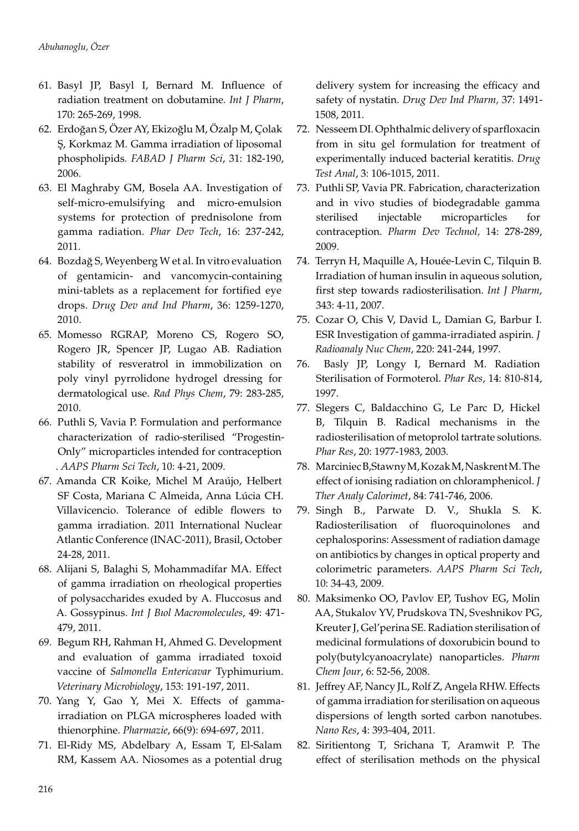- 61. Basyl JP, Basyl I, Bernard M. Influence of radiation treatment on dobutamine*. Int J Pharm*, 170: 265-269, 1998.
- 62. Erdoğan S, Özer AY, Ekizoğlu M, Özalp M, Çolak Ş, Korkmaz M. Gamma irradiation of liposomal phospholipids*. FABAD J Pharm Sci*, 31: 182-190, 2006.
- 63. El Maghraby GM, Bosela AA. Investigation of self-micro-emulsifying and micro-emulsion systems for protection of prednisolone from gamma radiation. *Phar Dev Tech*, 16: 237-242, 2011.
- 64. Bozdağ S, Weyenberg W et al. In vitro evaluation of gentamicin- and vancomycin-containing mini-tablets as a replacement for fortified eye drops. *Drug Dev and Ind Pharm*, 36: 1259-1270, 2010.
- 65. Momesso RGRAP, Moreno CS, Rogero SO, Rogero JR, Spencer JP, Lugao AB. Radiation stability of resveratrol in immobilization on poly vinyl pyrrolidone hydrogel dressing for dermatological use. *Rad Phys Chem*, 79: 283-285, 2010.
- 66. Puthli S, Vavia P. Formulation and performance characterization of radio-sterilised "Progestin-Only" microparticles intended for contraception . *AAPS Pharm Sci Tech*, 10: 4-21, 2009.
- 67. Amanda CR Koike, Michel M Araújo, Helbert SF Costa, Mariana C Almeida, Anna Lúcia CH. Villavicencio. Tolerance of edible flowers to gamma irradiation. 2011 International Nuclear Atlantic Conference (INAC-2011), Brasil, October 24-28, 2011.
- 68. Alijani S, Balaghi S, Mohammadifar MA. Effect of gamma irradiation on rheological properties of polysaccharides exuded by A. Fluccosus and A. Gossypinus. *Int J Bıol Macromolecules*, 49: 471- 479, 2011.
- 69. Begum RH, Rahman H, Ahmed G. Development and evaluation of gamma irradiated toxoid vaccine of *Salmonella Entericavar* Typhimurium. *Veterinary Microbiology*, 153: 191-197, 2011.
- 70. Yang Y, Gao Y, Mei X. Effects of gammairradiation on PLGA microspheres loaded with thienorphine. *Pharmazie*, 66(9): 694-697, 2011.
- 71. El-Ridy MS, Abdelbary A, Essam T, El-Salam RM, Kassem AA. Niosomes as a potential drug

delivery system for increasing the efficacy and safety of nystatin. *Drug Dev Ind Pharm,* 37: 1491- 1508, 2011.

- 72. Nesseem DI. Ophthalmic delivery of sparfloxacin from in situ gel formulation for treatment of experimentally induced bacterial keratitis. *Drug Test Anal*, 3: 106-1015, 2011.
- 73. Puthli SP, Vavia PR. Fabrication, characterization and in vivo studies of biodegradable gamma sterilised injectable microparticles for contraception. *Pharm Dev Technol,* 14: 278-289, 2009.
- 74. Terryn H, Maquille A, Houée-Levin C, Tilquin B. Irradiation of human insulin in aqueous solution, first step towards radiosterilisation. *Int J Pharm*, 343: 4-11, 2007.
- 75. Cozar O, Chis V, David L, Damian G, Barbur I. ESR Investigation of gamma-irradiated aspirin*. J Radioanaly Nuc Chem*, 220: 241-244, 1997.
- 76. Basly JP, Longy I, Bernard M. Radiation Sterilisation of Formoterol. *Phar Res*, 14: 810-814, 1997.
- 77. Slegers C, Baldacchino G, Le Parc D, Hickel B, Tilquin B. Radical mechanisms in the radiosterilisation of metoprolol tartrate solutions. *Phar Res*, 20: 1977-1983, 2003.
- 78. Marciniec B,Stawny M, Kozak M, Naskrent M. The effect of ionising radiation on chloramphenicol. *J Ther Analy Calorimet*, 84: 741-746, 2006.
- 79. Singh B., Parwate D. V., Shukla S. K. Radiosterilisation of fluoroquinolones and cephalosporins: Assessment of radiation damage on antibiotics by changes in optical property and colorimetric parameters. *AAPS Pharm Sci Tech*, 10: 34-43, 2009.
- 80. Maksimenko OO, Pavlov EP, Tushov EG, Molin AA, Stukalov YV, Prudskova TN, Sveshnikov PG, Kreuter J, Gel'perina SE. Radiation sterilisation of medicinal formulations of doxorubicin bound to poly(butylcyanoacrylate) nanoparticles. *Pharm Chem Jour*, 6: 52-56, 2008.
- 81. Jeffrey AF, Nancy JL, Rolf Z, Angela RHW. Effects of gamma irradiation for sterilisation on aqueous dispersions of length sorted carbon nanotubes. *Nano Res*, 4: 393-404, 2011.
- 82. Siritientong T, Srichana T, Aramwit P. The effect of sterilisation methods on the physical